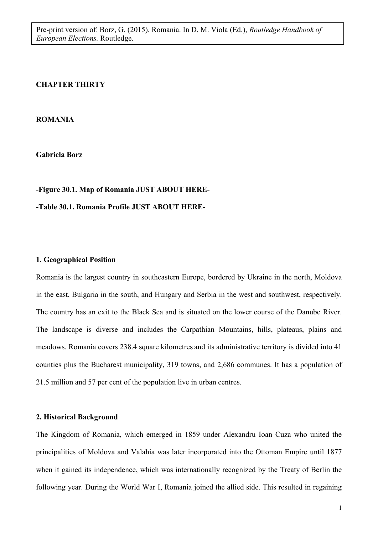#### **CHAPTER THIRTY**

#### **ROMANIA**

**Gabriela Borz** 

# **-Figure 30.1. Map of Romania JUST ABOUT HERE-**

# **-Table 30.1. Romania Profile JUST ABOUT HERE-**

#### **1. Geographical Position**

Romania is the largest country in southeastern Europe, bordered by Ukraine in the north, Moldova in the east, Bulgaria in the south, and Hungary and Serbia in the west and southwest, respectively. The country has an exit to the Black Sea and is situated on the lower course of the Danube River. The landscape is diverse and includes the Carpathian Mountains, hills, plateaus, plains and meadows. Romania covers 238.4 square kilometres and its administrative territory is divided into 41 counties plus the Bucharest municipality, 319 towns, and 2,686 communes. It has a population of 21.5 million and 57 per cent of the population live in urban centres.

## **2. Historical Background**

The Kingdom of Romania, which emerged in 1859 under Alexandru Ioan Cuza who united the principalities of Moldova and Valahia was later incorporated into the Ottoman Empire until 1877 when it gained its independence, which was internationally recognized by the Treaty of Berlin the following year. During the World War I, Romania joined the allied side. This resulted in regaining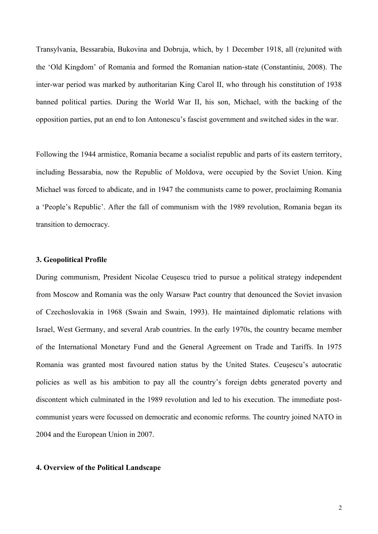Transylvania, Bessarabia, Bukovina and Dobruja, which, by 1 December 1918, all (re)united with the 'Old Kingdom' of Romania and formed the Romanian nation-state (Constantiniu, 2008). The inter-war period was marked by authoritarian King Carol II, who through his constitution of 1938 banned political parties. During the World War II, his son, Michael, with the backing of the opposition parties, put an end to Ion Antonescu's fascist government and switched sides in the war.

Following the 1944 armistice, Romania became a socialist republic and parts of its eastern territory, including Bessarabia, now the Republic of Moldova, were occupied by the Soviet Union. King Michael was forced to abdicate, and in 1947 the communists came to power, proclaiming Romania a 'People's Republic'. After the fall of communism with the 1989 revolution, Romania began its transition to democracy.

### **3. Geopolitical Profile**

During communism, President Nicolae Ceuşescu tried to pursue a political strategy independent from Moscow and Romania was the only Warsaw Pact country that denounced the Soviet invasion of Czechoslovakia in 1968 (Swain and Swain, 1993). He maintained diplomatic relations with Israel, West Germany, and several Arab countries. In the early 1970s, the country became member of the International Monetary Fund and the General Agreement on Trade and Tariffs. In 1975 Romania was granted most favoured nation status by the United States. Ceuşescu's autocratic policies as well as his ambition to pay all the country's foreign debts generated poverty and discontent which culminated in the 1989 revolution and led to his execution. The immediate postcommunist years were focussed on democratic and economic reforms. The country joined NATO in 2004 and the European Union in 2007.

#### **4. Overview of the Political Landscape**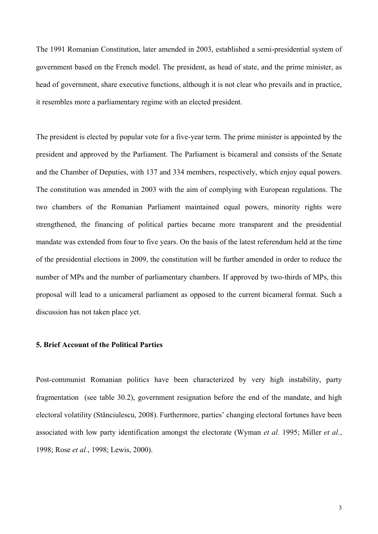The 1991 Romanian Constitution, later amended in 2003, established a semi-presidential system of government based on the French model. The president, as head of state, and the prime minister, as head of government, share executive functions, although it is not clear who prevails and in practice, it resembles more a parliamentary regime with an elected president.

The president is elected by popular vote for a five-year term. The prime minister is appointed by the president and approved by the Parliament. The Parliament is bicameral and consists of the Senate and the Chamber of Deputies, with 137 and 334 members, respectively, which enjoy equal powers. The constitution was amended in 2003 with the aim of complying with European regulations. The two chambers of the Romanian Parliament maintained equal powers, minority rights were strengthened, the financing of political parties became more transparent and the presidential mandate was extended from four to five years. On the basis of the latest referendum held at the time of the presidential elections in 2009, the constitution will be further amended in order to reduce the number of MPs and the number of parliamentary chambers. If approved by two-thirds of MPs, this proposal will lead to a unicameral parliament as opposed to the current bicameral format. Such a discussion has not taken place yet.

## **5. Brief Account of the Political Parties**

Post-communist Romanian politics have been characterized by very high instability, party fragmentation (see table 30.2), government resignation before the end of the mandate, and high electoral volatility (Stănciulescu, 2008). Furthermore, parties' changing electoral fortunes have been associated with low party identification amongst the electorate (Wyman *et al.* 1995; Miller *et al.*, 1998; Rose *et al.*, 1998; Lewis, 2000).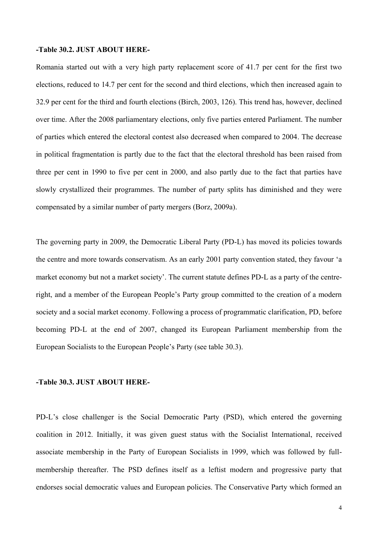#### **-Table 30.2. JUST ABOUT HERE-**

Romania started out with a very high party replacement score of 41.7 per cent for the first two elections, reduced to 14.7 per cent for the second and third elections, which then increased again to 32.9 per cent for the third and fourth elections (Birch, 2003, 126). This trend has, however, declined over time. After the 2008 parliamentary elections, only five parties entered Parliament. The number of parties which entered the electoral contest also decreased when compared to 2004. The decrease in political fragmentation is partly due to the fact that the electoral threshold has been raised from three per cent in 1990 to five per cent in 2000, and also partly due to the fact that parties have slowly crystallized their programmes. The number of party splits has diminished and they were compensated by a similar number of party mergers (Borz, 2009a).

The governing party in 2009, the Democratic Liberal Party (PD-L) has moved its policies towards the centre and more towards conservatism. As an early 2001 party convention stated, they favour 'a market economy but not a market society'. The current statute defines PD-L as a party of the centreright, and a member of the European People's Party group committed to the creation of a modern society and a social market economy. Following a process of programmatic clarification, PD, before becoming PD-L at the end of 2007, changed its European Parliament membership from the European Socialists to the European People's Party (see table 30.3).

#### **-Table 30.3. JUST ABOUT HERE-**

PD-L's close challenger is the Social Democratic Party (PSD), which entered the governing coalition in 2012. Initially, it was given guest status with the Socialist International, received associate membership in the Party of European Socialists in 1999, which was followed by fullmembership thereafter. The PSD defines itself as a leftist modern and progressive party that endorses social democratic values and European policies. The Conservative Party which formed an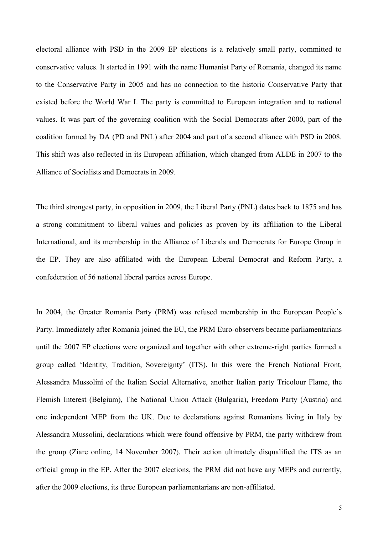electoral alliance with PSD in the 2009 EP elections is a relatively small party, committed to conservative values. It started in 1991 with the name Humanist Party of Romania, changed its name to the Conservative Party in 2005 and has no connection to the historic Conservative Party that existed before the World War I. The party is committed to European integration and to national values. It was part of the governing coalition with the Social Democrats after 2000, part of the coalition formed by DA (PD and PNL) after 2004 and part of a second alliance with PSD in 2008. This shift was also reflected in its European affiliation, which changed from ALDE in 2007 to the Alliance of Socialists and Democrats in 2009.

The third strongest party, in opposition in 2009, the Liberal Party (PNL) dates back to 1875 and has a strong commitment to liberal values and policies as proven by its affiliation to the Liberal International, and its membership in the Alliance of Liberals and Democrats for Europe Group in the EP. They are also affiliated with the European Liberal Democrat and Reform Party, a confederation of 56 national liberal parties across Europe.

In 2004, the Greater Romania Party (PRM) was refused membership in the European People's Party. Immediately after Romania joined the EU, the PRM Euro-observers became parliamentarians until the 2007 EP elections were organized and together with other extreme-right parties formed a group called 'Identity, Tradition, Sovereignty' (ITS). In this were the French National Front, Alessandra Mussolini of the Italian Social Alternative, another Italian party Tricolour Flame, the Flemish Interest (Belgium), The National Union Attack (Bulgaria), Freedom Party (Austria) and one independent MEP from the UK. Due to declarations against Romanians living in Italy by Alessandra Mussolini, declarations which were found offensive by PRM, the party withdrew from the group (Ziare online, 14 November 2007). Their action ultimately disqualified the ITS as an official group in the EP. After the 2007 elections, the PRM did not have any MEPs and currently, after the 2009 elections, its three European parliamentarians are non-affiliated.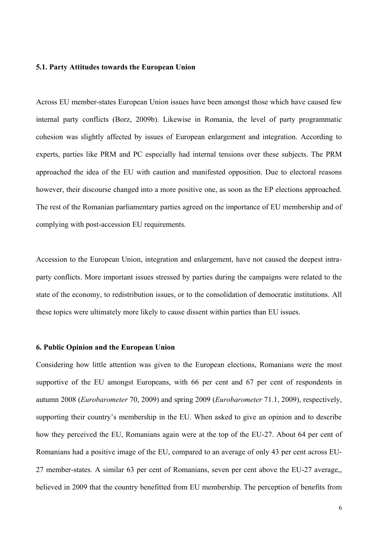#### **5.1. Party Attitudes towards the European Union**

Across EU member-states European Union issues have been amongst those which have caused few internal party conflicts (Borz, 2009b). Likewise in Romania, the level of party programmatic cohesion was slightly affected by issues of European enlargement and integration. According to experts, parties like PRM and PC especially had internal tensions over these subjects. The PRM approached the idea of the EU with caution and manifested opposition. Due to electoral reasons however, their discourse changed into a more positive one, as soon as the EP elections approached. The rest of the Romanian parliamentary parties agreed on the importance of EU membership and of complying with post-accession EU requirements.

Accession to the European Union, integration and enlargement, have not caused the deepest intraparty conflicts. More important issues stressed by parties during the campaigns were related to the state of the economy, to redistribution issues, or to the consolidation of democratic institutions. All these topics were ultimately more likely to cause dissent within parties than EU issues.

#### **6. Public Opinion and the European Union**

Considering how little attention was given to the European elections, Romanians were the most supportive of the EU amongst Europeans, with 66 per cent and 67 per cent of respondents in autumn 2008 (*Eurobarometer* 70, 2009) and spring 2009 (*Eurobarometer* 71.1, 2009), respectively, supporting their country's membership in the EU. When asked to give an opinion and to describe how they perceived the EU, Romanians again were at the top of the EU-27. About 64 per cent of Romanians had a positive image of the EU, compared to an average of only 43 per cent across EU-27 member-states. A similar 63 per cent of Romanians, seven per cent above the EU-27 average,, believed in 2009 that the country benefitted from EU membership. The perception of benefits from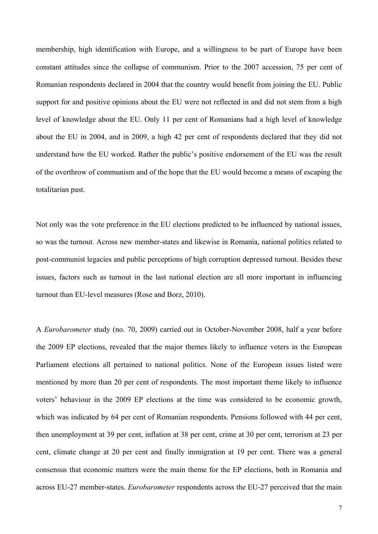membership, high identification with Europe, and a willingness to be part of Europe have been constant attitudes since the collapse of communism. Prior to the 2007 accession, 75 per cent of Romanian respondents declared in 2004 that the country would benefit from joining the EU. Public support for and positive opinions about the EU were not reflected in and did not stem from a high level of knowledge about the EU. Only 11 per cent of Romanians had a high level of knowledge about the EU in 2004, and in 2009, a high 42 per cent of respondents declared that they did not understand how the EU worked. Rather the public's positive endorsement of the EU was the result of the overthrow of communism and of the hope that the EU would become a means of escaping the totalitarian past.

Not only was the vote preference in the EU elections predicted to be influenced by national issues, so was the turnout. Across new member-states and likewise in Romania, national politics related to post-communist legacies and public perceptions of high corruption depressed turnout. Besides these issues, factors such as turnout in the last national election are all more important in influencing turnout than EU-level measures (Rose and Borz, 2010).

A *Eurobarometer* study (no. 70, 2009) carried out in October-November 2008, half a year before the 2009 EP elections, revealed that the major themes likely to influence voters in the European Parliament elections all pertained to national politics. None of the European issues listed were mentioned by more than 20 per cent of respondents. The most important theme likely to influence voters' behaviour in the 2009 EP elections at the time was considered to be economic growth, which was indicated by 64 per cent of Romanian respondents. Pensions followed with 44 per cent, then unemployment at 39 per cent, inflation at 38 per cent, crime at 30 per cent, terrorism at 23 per cent, climate change at 20 per cent and finally immigration at 19 per cent. There was a general consensus that economic matters were the main theme for the EP elections, both in Romania and across EU-27 member-states. *Eurobarometer* respondents across the EU-27 perceived that the main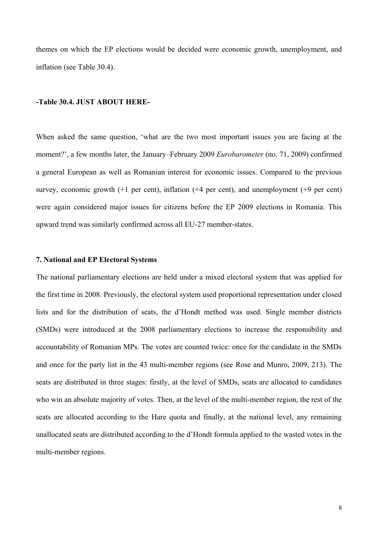themes on which the EP elections would be decided were economic growth, unemployment, and inflation (see Table 30.4).

## **-Table 30.4. JUST ABOUT HERE-**

When asked the same question, 'what are the two most important issues you are facing at the moment?', a few months later, the January–February 2009 *Eurobarometer* (no. 71, 2009) confirmed a general European as well as Romanian interest for economic issues. Compared to the previous survey, economic growth (+1 per cent), inflation (+4 per cent), and unemployment (+9 per cent) were again considered major issues for citizens before the EP 2009 elections in Romania. This upward trend was similarly confirmed across all EU-27 member-states.

#### **7. National and EP Electoral Systems**

The national parliamentary elections are held under a mixed electoral system that was applied for the first time in 2008. Previously, the electoral system used proportional representation under closed lists and for the distribution of seats, the d'Hondt method was used. Single member districts (SMDs) were introduced at the 2008 parliamentary elections to increase the responsibility and accountability of Romanian MPs. The votes are counted twice: once for the candidate in the SMDs and once for the party list in the 43 multi-member regions (see Rose and Munro, 2009, 213). The seats are distributed in three stages: firstly, at the level of SMDs, seats are allocated to candidates who win an absolute majority of votes. Then, at the level of the multi-member region, the rest of the seats are allocated according to the Hare quota and finally, at the national level, any remaining unallocated seats are distributed according to the d'Hondt formula applied to the wasted votes in the multi-member regions.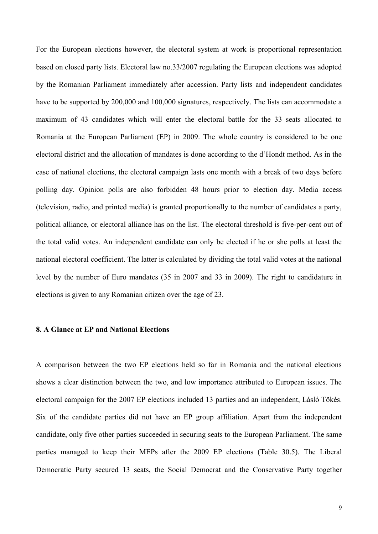For the European elections however, the electoral system at work is proportional representation based on closed party lists. Electoral law no.33/2007 regulating the European elections was adopted by the Romanian Parliament immediately after accession. Party lists and independent candidates have to be supported by 200,000 and 100,000 signatures, respectively. The lists can accommodate a maximum of 43 candidates which will enter the electoral battle for the 33 seats allocated to Romania at the European Parliament (EP) in 2009. The whole country is considered to be one electoral district and the allocation of mandates is done according to the d'Hondt method. As in the case of national elections, the electoral campaign lasts one month with a break of two days before polling day. Opinion polls are also forbidden 48 hours prior to election day. Media access (television, radio, and printed media) is granted proportionally to the number of candidates a party, political alliance, or electoral alliance has on the list. The electoral threshold is five-per-cent out of the total valid votes. An independent candidate can only be elected if he or she polls at least the national electoral coefficient. The latter is calculated by dividing the total valid votes at the national level by the number of Euro mandates (35 in 2007 and 33 in 2009). The right to candidature in elections is given to any Romanian citizen over the age of 23.

## **8. A Glance at EP and National Elections**

A comparison between the two EP elections held so far in Romania and the national elections shows a clear distinction between the two, and low importance attributed to European issues. The electoral campaign for the 2007 EP elections included 13 parties and an independent, Lásló Tökés. Six of the candidate parties did not have an EP group affiliation. Apart from the independent candidate, only five other parties succeeded in securing seats to the European Parliament. The same parties managed to keep their MEPs after the 2009 EP elections (Table 30.5). The Liberal Democratic Party secured 13 seats, the Social Democrat and the Conservative Party together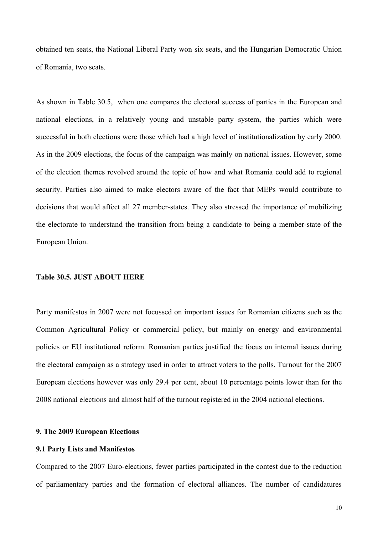obtained ten seats, the National Liberal Party won six seats, and the Hungarian Democratic Union of Romania, two seats.

As shown in Table 30.5, when one compares the electoral success of parties in the European and national elections, in a relatively young and unstable party system, the parties which were successful in both elections were those which had a high level of institutionalization by early 2000. As in the 2009 elections, the focus of the campaign was mainly on national issues. However, some of the election themes revolved around the topic of how and what Romania could add to regional security. Parties also aimed to make electors aware of the fact that MEPs would contribute to decisions that would affect all 27 member-states. They also stressed the importance of mobilizing the electorate to understand the transition from being a candidate to being a member-state of the European Union.

#### **Table 30.5. JUST ABOUT HERE**

Party manifestos in 2007 were not focussed on important issues for Romanian citizens such as the Common Agricultural Policy or commercial policy, but mainly on energy and environmental policies or EU institutional reform. Romanian parties justified the focus on internal issues during the electoral campaign as a strategy used in order to attract voters to the polls. Turnout for the 2007 European elections however was only 29.4 per cent, about 10 percentage points lower than for the 2008 national elections and almost half of the turnout registered in the 2004 national elections.

#### **9. The 2009 European Elections**

## **9.1 Party Lists and Manifestos**

Compared to the 2007 Euro-elections, fewer parties participated in the contest due to the reduction of parliamentary parties and the formation of electoral alliances. The number of candidatures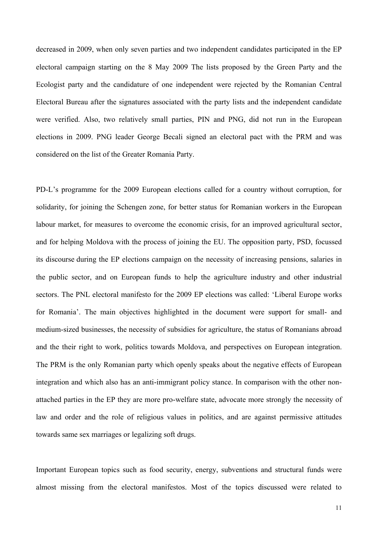decreased in 2009, when only seven parties and two independent candidates participated in the EP electoral campaign starting on the 8 May 2009 The lists proposed by the Green Party and the Ecologist party and the candidature of one independent were rejected by the Romanian Central Electoral Bureau after the signatures associated with the party lists and the independent candidate were verified. Also, two relatively small parties, PIN and PNG, did not run in the European elections in 2009. PNG leader George Becali signed an electoral pact with the PRM and was considered on the list of the Greater Romania Party.

PD-L's programme for the 2009 European elections called for a country without corruption, for solidarity, for joining the Schengen zone, for better status for Romanian workers in the European labour market, for measures to overcome the economic crisis, for an improved agricultural sector, and for helping Moldova with the process of joining the EU. The opposition party, PSD, focussed its discourse during the EP elections campaign on the necessity of increasing pensions, salaries in the public sector, and on European funds to help the agriculture industry and other industrial sectors. The PNL electoral manifesto for the 2009 EP elections was called: 'Liberal Europe works for Romania'. The main objectives highlighted in the document were support for small- and medium-sized businesses, the necessity of subsidies for agriculture, the status of Romanians abroad and the their right to work, politics towards Moldova, and perspectives on European integration. The PRM is the only Romanian party which openly speaks about the negative effects of European integration and which also has an anti-immigrant policy stance. In comparison with the other nonattached parties in the EP they are more pro-welfare state, advocate more strongly the necessity of law and order and the role of religious values in politics, and are against permissive attitudes towards same sex marriages or legalizing soft drugs.

Important European topics such as food security, energy, subventions and structural funds were almost missing from the electoral manifestos. Most of the topics discussed were related to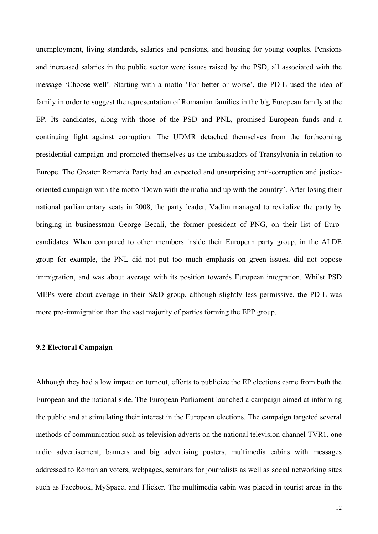unemployment, living standards, salaries and pensions, and housing for young couples. Pensions and increased salaries in the public sector were issues raised by the PSD, all associated with the message 'Choose well'. Starting with a motto 'For better or worse', the PD-L used the idea of family in order to suggest the representation of Romanian families in the big European family at the EP. Its candidates, along with those of the PSD and PNL, promised European funds and a continuing fight against corruption. The UDMR detached themselves from the forthcoming presidential campaign and promoted themselves as the ambassadors of Transylvania in relation to Europe. The Greater Romania Party had an expected and unsurprising anti-corruption and justiceoriented campaign with the motto 'Down with the mafia and up with the country'. After losing their national parliamentary seats in 2008, the party leader, Vadim managed to revitalize the party by bringing in businessman George Becali, the former president of PNG, on their list of Eurocandidates. When compared to other members inside their European party group, in the ALDE group for example, the PNL did not put too much emphasis on green issues, did not oppose immigration, and was about average with its position towards European integration. Whilst PSD MEPs were about average in their S&D group, although slightly less permissive, the PD-L was more pro-immigration than the vast majority of parties forming the EPP group.

#### **9.2 Electoral Campaign**

Although they had a low impact on turnout, efforts to publicize the EP elections came from both the European and the national side. The European Parliament launched a campaign aimed at informing the public and at stimulating their interest in the European elections. The campaign targeted several methods of communication such as television adverts on the national television channel TVR1, one radio advertisement, banners and big advertising posters, multimedia cabins with messages addressed to Romanian voters, webpages, seminars for journalists as well as social networking sites such as Facebook, MySpace, and Flicker. The multimedia cabin was placed in tourist areas in the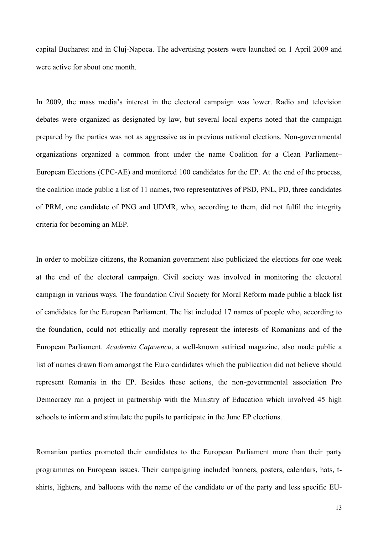capital Bucharest and in Cluj-Napoca. The advertising posters were launched on 1 April 2009 and were active for about one month.

In 2009, the mass media's interest in the electoral campaign was lower. Radio and television debates were organized as designated by law, but several local experts noted that the campaign prepared by the parties was not as aggressive as in previous national elections. Non-governmental organizations organized a common front under the name Coalition for a Clean Parliament– European Elections (CPC-AE) and monitored 100 candidates for the EP. At the end of the process, the coalition made public a list of 11 names, two representatives of PSD, PNL, PD, three candidates of PRM, one candidate of PNG and UDMR, who, according to them, did not fulfil the integrity criteria for becoming an MEP.

In order to mobilize citizens, the Romanian government also publicized the elections for one week at the end of the electoral campaign. Civil society was involved in monitoring the electoral campaign in various ways. The foundation Civil Society for Moral Reform made public a black list of candidates for the European Parliament. The list included 17 names of people who, according to the foundation, could not ethically and morally represent the interests of Romanians and of the European Parliament. *Academia Caţavencu*, a well-known satirical magazine, also made public a list of names drawn from amongst the Euro candidates which the publication did not believe should represent Romania in the EP. Besides these actions, the non-governmental association Pro Democracy ran a project in partnership with the Ministry of Education which involved 45 high schools to inform and stimulate the pupils to participate in the June EP elections.

Romanian parties promoted their candidates to the European Parliament more than their party programmes on European issues. Their campaigning included banners, posters, calendars, hats, tshirts, lighters, and balloons with the name of the candidate or of the party and less specific EU-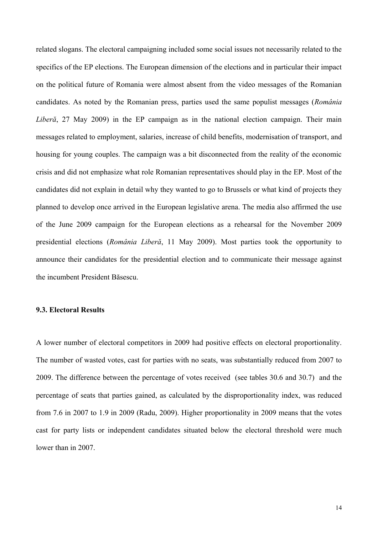related slogans. The electoral campaigning included some social issues not necessarily related to the specifics of the EP elections. The European dimension of the elections and in particular their impact on the political future of Romania were almost absent from the video messages of the Romanian candidates. As noted by the Romanian press, parties used the same populist messages (*România Liberă*, 27 May 2009) in the EP campaign as in the national election campaign. Their main messages related to employment, salaries, increase of child benefits, modernisation of transport, and housing for young couples. The campaign was a bit disconnected from the reality of the economic crisis and did not emphasize what role Romanian representatives should play in the EP. Most of the candidates did not explain in detail why they wanted to go to Brussels or what kind of projects they planned to develop once arrived in the European legislative arena. The media also affirmed the use of the June 2009 campaign for the European elections as a rehearsal for the November 2009 presidential elections (*România Liberă*, 11 May 2009). Most parties took the opportunity to announce their candidates for the presidential election and to communicate their message against the incumbent President Băsescu.

## **9.3. Electoral Results**

A lower number of electoral competitors in 2009 had positive effects on electoral proportionality. The number of wasted votes, cast for parties with no seats, was substantially reduced from 2007 to 2009. The difference between the percentage of votes received (see tables 30.6 and 30.7) and the percentage of seats that parties gained, as calculated by the disproportionality index, was reduced from 7.6 in 2007 to 1.9 in 2009 (Radu, 2009). Higher proportionality in 2009 means that the votes cast for party lists or independent candidates situated below the electoral threshold were much lower than in 2007.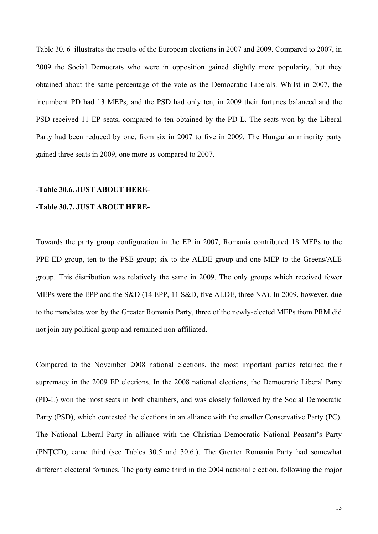Table 30. 6 illustrates the results of the European elections in 2007 and 2009. Compared to 2007, in 2009 the Social Democrats who were in opposition gained slightly more popularity, but they obtained about the same percentage of the vote as the Democratic Liberals. Whilst in 2007, the incumbent PD had 13 MEPs, and the PSD had only ten, in 2009 their fortunes balanced and the PSD received 11 EP seats, compared to ten obtained by the PD-L. The seats won by the Liberal Party had been reduced by one, from six in 2007 to five in 2009. The Hungarian minority party gained three seats in 2009, one more as compared to 2007.

#### **-Table 30.6. JUST ABOUT HERE-**

## **-Table 30.7. JUST ABOUT HERE-**

Towards the party group configuration in the EP in 2007, Romania contributed 18 MEPs to the PPE-ED group, ten to the PSE group; six to the ALDE group and one MEP to the Greens/ALE group. This distribution was relatively the same in 2009. The only groups which received fewer MEPs were the EPP and the S&D (14 EPP, 11 S&D, five ALDE, three NA). In 2009, however, due to the mandates won by the Greater Romania Party, three of the newly-elected MEPs from PRM did not join any political group and remained non-affiliated.

Compared to the November 2008 national elections, the most important parties retained their supremacy in the 2009 EP elections. In the 2008 national elections, the Democratic Liberal Party (PD-L) won the most seats in both chambers, and was closely followed by the Social Democratic Party (PSD), which contested the elections in an alliance with the smaller Conservative Party (PC). The National Liberal Party in alliance with the Christian Democratic National Peasant's Party (PNŢCD), came third (see Tables 30.5 and 30.6.). The Greater Romania Party had somewhat different electoral fortunes. The party came third in the 2004 national election, following the major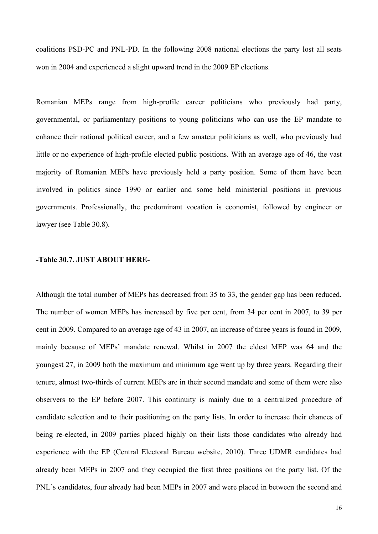coalitions PSD-PC and PNL-PD. In the following 2008 national elections the party lost all seats won in 2004 and experienced a slight upward trend in the 2009 EP elections.

Romanian MEPs range from high-profile career politicians who previously had party, governmental, or parliamentary positions to young politicians who can use the EP mandate to enhance their national political career, and a few amateur politicians as well, who previously had little or no experience of high-profile elected public positions. With an average age of 46, the vast majority of Romanian MEPs have previously held a party position. Some of them have been involved in politics since 1990 or earlier and some held ministerial positions in previous governments. Professionally, the predominant vocation is economist, followed by engineer or lawyer (see Table 30.8).

#### **-Table 30.7. JUST ABOUT HERE-**

Although the total number of MEPs has decreased from 35 to 33, the gender gap has been reduced. The number of women MEPs has increased by five per cent, from 34 per cent in 2007, to 39 per cent in 2009. Compared to an average age of 43 in 2007, an increase of three years is found in 2009, mainly because of MEPs' mandate renewal. Whilst in 2007 the eldest MEP was 64 and the youngest 27, in 2009 both the maximum and minimum age went up by three years. Regarding their tenure, almost two-thirds of current MEPs are in their second mandate and some of them were also observers to the EP before 2007. This continuity is mainly due to a centralized procedure of candidate selection and to their positioning on the party lists. In order to increase their chances of being re-elected, in 2009 parties placed highly on their lists those candidates who already had experience with the EP (Central Electoral Bureau website, 2010). Three UDMR candidates had already been MEPs in 2007 and they occupied the first three positions on the party list. Of the PNL's candidates, four already had been MEPs in 2007 and were placed in between the second and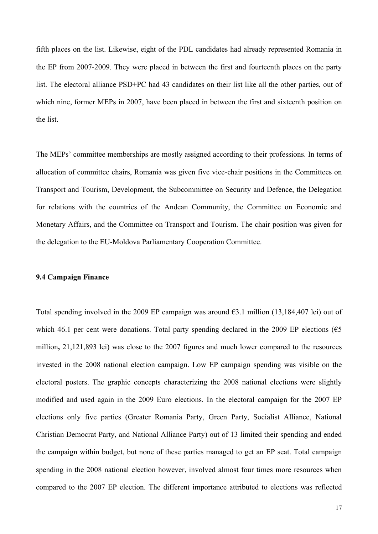fifth places on the list. Likewise, eight of the PDL candidates had already represented Romania in the EP from 2007-2009. They were placed in between the first and fourteenth places on the party list. The electoral alliance PSD+PC had 43 candidates on their list like all the other parties, out of which nine, former MEPs in 2007, have been placed in between the first and sixteenth position on the list.

The MEPs' committee memberships are mostly assigned according to their professions. In terms of allocation of committee chairs, Romania was given five vice-chair positions in the Committees on Transport and Tourism, Development, the Subcommittee on Security and Defence, the Delegation for relations with the countries of the Andean Community, the Committee on Economic and Monetary Affairs, and the Committee on Transport and Tourism. The chair position was given for the delegation to the EU-Moldova Parliamentary Cooperation Committee.

#### **9.4 Campaign Finance**

Total spending involved in the 2009 EP campaign was around  $\epsilon$ 3.1 million (13,184,407 lei) out of which 46.1 per cent were donations. Total party spending declared in the 2009 EP elections ( $\epsilon$ 5 million**,** 21,121,893 lei) was close to the 2007 figures and much lower compared to the resources invested in the 2008 national election campaign. Low EP campaign spending was visible on the electoral posters. The graphic concepts characterizing the 2008 national elections were slightly modified and used again in the 2009 Euro elections. In the electoral campaign for the 2007 EP elections only five parties (Greater Romania Party, Green Party, Socialist Alliance, National Christian Democrat Party, and National Alliance Party) out of 13 limited their spending and ended the campaign within budget, but none of these parties managed to get an EP seat. Total campaign spending in the 2008 national election however, involved almost four times more resources when compared to the 2007 EP election. The different importance attributed to elections was reflected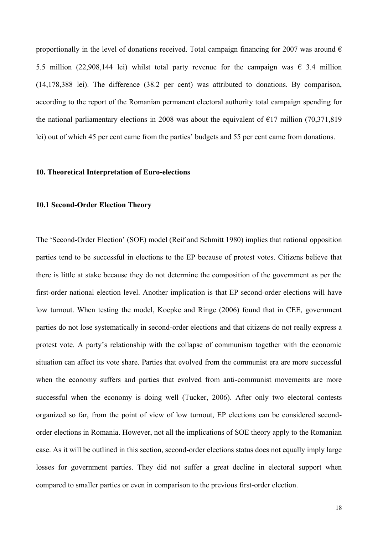proportionally in the level of donations received. Total campaign financing for 2007 was around  $\epsilon$ 5.5 million (22,908,144 lei) whilst total party revenue for the campaign was  $\epsilon$  3.4 million (14,178,388 lei). The difference (38.2 per cent) was attributed to donations. By comparison, according to the report of the Romanian permanent electoral authority total campaign spending for the national parliamentary elections in 2008 was about the equivalent of  $\epsilon$ 17 million (70,371,819) lei) out of which 45 per cent came from the parties' budgets and 55 per cent came from donations.

#### **10. Theoretical Interpretation of Euro-elections**

#### **10.1 Second-Order Election Theory**

The 'Second-Order Election' (SOE) model (Reif and Schmitt 1980) implies that national opposition parties tend to be successful in elections to the EP because of protest votes. Citizens believe that there is little at stake because they do not determine the composition of the government as per the first-order national election level. Another implication is that EP second-order elections will have low turnout. When testing the model, Koepke and Ringe (2006) found that in CEE, government parties do not lose systematically in second-order elections and that citizens do not really express a protest vote. A party's relationship with the collapse of communism together with the economic situation can affect its vote share. Parties that evolved from the communist era are more successful when the economy suffers and parties that evolved from anti-communist movements are more successful when the economy is doing well (Tucker, 2006). After only two electoral contests organized so far, from the point of view of low turnout, EP elections can be considered secondorder elections in Romania. However, not all the implications of SOE theory apply to the Romanian case. As it will be outlined in this section, second-order elections status does not equally imply large losses for government parties. They did not suffer a great decline in electoral support when compared to smaller parties or even in comparison to the previous first-order election.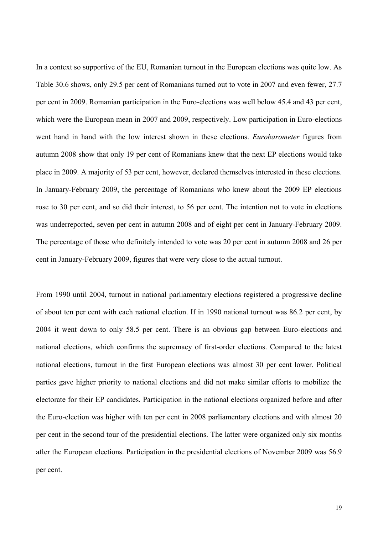In a context so supportive of the EU, Romanian turnout in the European elections was quite low. As Table 30.6 shows, only 29.5 per cent of Romanians turned out to vote in 2007 and even fewer, 27.7 per cent in 2009. Romanian participation in the Euro-elections was well below 45.4 and 43 per cent, which were the European mean in 2007 and 2009, respectively. Low participation in Euro-elections went hand in hand with the low interest shown in these elections. *Eurobarometer* figures from autumn 2008 show that only 19 per cent of Romanians knew that the next EP elections would take place in 2009. A majority of 53 per cent, however, declared themselves interested in these elections. In January-February 2009, the percentage of Romanians who knew about the 2009 EP elections rose to 30 per cent, and so did their interest, to 56 per cent. The intention not to vote in elections was underreported, seven per cent in autumn 2008 and of eight per cent in January-February 2009. The percentage of those who definitely intended to vote was 20 per cent in autumn 2008 and 26 per cent in January-February 2009, figures that were very close to the actual turnout.

From 1990 until 2004, turnout in national parliamentary elections registered a progressive decline of about ten per cent with each national election. If in 1990 national turnout was 86.2 per cent, by 2004 it went down to only 58.5 per cent. There is an obvious gap between Euro-elections and national elections, which confirms the supremacy of first-order elections. Compared to the latest national elections, turnout in the first European elections was almost 30 per cent lower. Political parties gave higher priority to national elections and did not make similar efforts to mobilize the electorate for their EP candidates. Participation in the national elections organized before and after the Euro-election was higher with ten per cent in 2008 parliamentary elections and with almost 20 per cent in the second tour of the presidential elections. The latter were organized only six months after the European elections. Participation in the presidential elections of November 2009 was 56.9 per cent.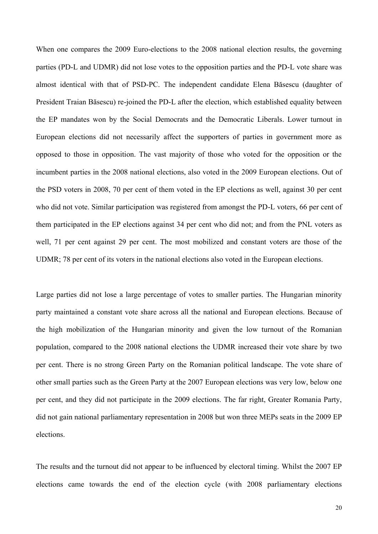When one compares the 2009 Euro-elections to the 2008 national election results, the governing parties (PD-L and UDMR) did not lose votes to the opposition parties and the PD-L vote share was almost identical with that of PSD-PC. The independent candidate Elena Băsescu (daughter of President Traian Băsescu) re-joined the PD-L after the election, which established equality between the EP mandates won by the Social Democrats and the Democratic Liberals. Lower turnout in European elections did not necessarily affect the supporters of parties in government more as opposed to those in opposition. The vast majority of those who voted for the opposition or the incumbent parties in the 2008 national elections, also voted in the 2009 European elections. Out of the PSD voters in 2008, 70 per cent of them voted in the EP elections as well, against 30 per cent who did not vote. Similar participation was registered from amongst the PD-L voters, 66 per cent of them participated in the EP elections against 34 per cent who did not; and from the PNL voters as well, 71 per cent against 29 per cent. The most mobilized and constant voters are those of the UDMR; 78 per cent of its voters in the national elections also voted in the European elections.

Large parties did not lose a large percentage of votes to smaller parties. The Hungarian minority party maintained a constant vote share across all the national and European elections. Because of the high mobilization of the Hungarian minority and given the low turnout of the Romanian population, compared to the 2008 national elections the UDMR increased their vote share by two per cent. There is no strong Green Party on the Romanian political landscape. The vote share of other small parties such as the Green Party at the 2007 European elections was very low, below one per cent, and they did not participate in the 2009 elections. The far right, Greater Romania Party, did not gain national parliamentary representation in 2008 but won three MEPs seats in the 2009 EP elections.

The results and the turnout did not appear to be influenced by electoral timing. Whilst the 2007 EP elections came towards the end of the election cycle (with 2008 parliamentary elections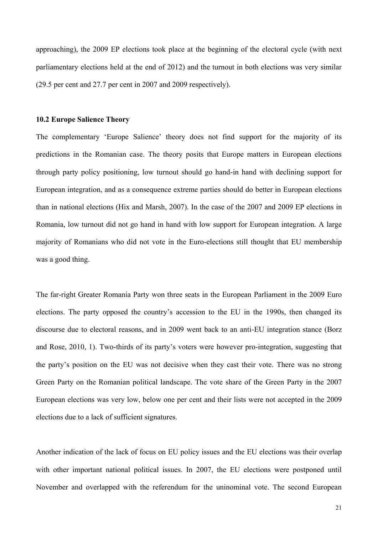approaching), the 2009 EP elections took place at the beginning of the electoral cycle (with next parliamentary elections held at the end of 2012) and the turnout in both elections was very similar (29.5 per cent and 27.7 per cent in 2007 and 2009 respectively).

#### **10.2 Europe Salience Theory**

The complementary 'Europe Salience' theory does not find support for the majority of its predictions in the Romanian case. The theory posits that Europe matters in European elections through party policy positioning, low turnout should go hand-in hand with declining support for European integration, and as a consequence extreme parties should do better in European elections than in national elections (Hix and Marsh, 2007). In the case of the 2007 and 2009 EP elections in Romania, low turnout did not go hand in hand with low support for European integration. A large majority of Romanians who did not vote in the Euro-elections still thought that EU membership was a good thing.

The far-right Greater Romania Party won three seats in the European Parliament in the 2009 Euro elections. The party opposed the country's accession to the EU in the 1990s, then changed its discourse due to electoral reasons, and in 2009 went back to an anti-EU integration stance (Borz and Rose, 2010, 1). Two-thirds of its party's voters were however pro-integration, suggesting that the party's position on the EU was not decisive when they cast their vote. There was no strong Green Party on the Romanian political landscape. The vote share of the Green Party in the 2007 European elections was very low, below one per cent and their lists were not accepted in the 2009 elections due to a lack of sufficient signatures.

Another indication of the lack of focus on EU policy issues and the EU elections was their overlap with other important national political issues. In 2007, the EU elections were postponed until November and overlapped with the referendum for the uninominal vote. The second European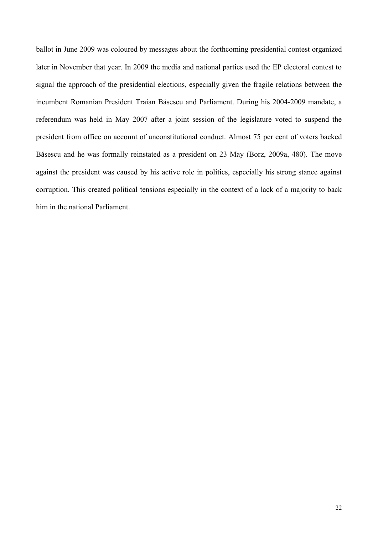ballot in June 2009 was coloured by messages about the forthcoming presidential contest organized later in November that year. In 2009 the media and national parties used the EP electoral contest to signal the approach of the presidential elections, especially given the fragile relations between the incumbent Romanian President Traian Băsescu and Parliament. During his 2004-2009 mandate, a referendum was held in May 2007 after a joint session of the legislature voted to suspend the president from office on account of unconstitutional conduct. Almost 75 per cent of voters backed Băsescu and he was formally reinstated as a president on 23 May (Borz, 2009a, 480). The move against the president was caused by his active role in politics, especially his strong stance against corruption. This created political tensions especially in the context of a lack of a majority to back him in the national Parliament.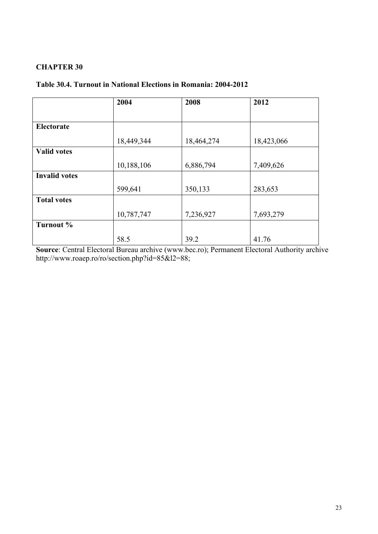# **CHAPTER 30**

# **Table 30.4. Turnout in National Elections in Romania: 2004-2012**

|                      | 2004       | 2008       | 2012       |
|----------------------|------------|------------|------------|
|                      |            |            |            |
| <b>Electorate</b>    |            |            |            |
|                      | 18,449,344 | 18,464,274 | 18,423,066 |
| <b>Valid votes</b>   |            |            |            |
|                      | 10,188,106 | 6,886,794  | 7,409,626  |
| <b>Invalid votes</b> |            |            |            |
|                      | 599,641    | 350,133    | 283,653    |
| <b>Total votes</b>   |            |            |            |
|                      | 10,787,747 | 7,236,927  | 7,693,279  |
| Turnout %            |            |            |            |
|                      | 58.5       | 39.2       | 41.76      |

**Source**: Central Electoral Bureau archive (www.bec.ro); Permanent Electoral Authority archive http://www.roaep.ro/ro/section.php?id=85&l2=88;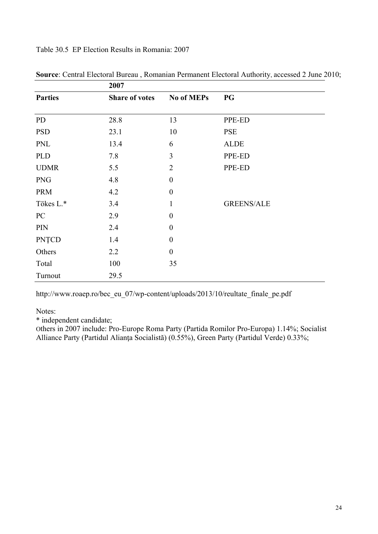Table 30.5 EP Election Results in Romania: 2007

|                | 2007                  |                  |                   |  |
|----------------|-----------------------|------------------|-------------------|--|
| <b>Parties</b> | <b>Share of votes</b> | No of MEPs       | <b>PG</b>         |  |
| PD             | 28.8                  | 13               | PPE-ED            |  |
| <b>PSD</b>     | 23.1                  | 10               | <b>PSE</b>        |  |
| <b>PNL</b>     | 13.4                  | 6                | <b>ALDE</b>       |  |
| <b>PLD</b>     | 7.8                   | 3                | PPE-ED            |  |
| <b>UDMR</b>    | 5.5                   | $\overline{2}$   | PPE-ED            |  |
| <b>PNG</b>     | 4.8                   | $\boldsymbol{0}$ |                   |  |
| <b>PRM</b>     | 4.2                   | $\boldsymbol{0}$ |                   |  |
| Tökes L.*      | 3.4                   | $\mathbf{1}$     | <b>GREENS/ALE</b> |  |
| PC             | 2.9                   | $\boldsymbol{0}$ |                   |  |
| PIN            | 2.4                   | $\boldsymbol{0}$ |                   |  |
| <b>PNȚCD</b>   | 1.4                   | $\boldsymbol{0}$ |                   |  |
| Others         | 2.2                   | $\boldsymbol{0}$ |                   |  |
| Total          | 100                   | 35               |                   |  |
| Turnout        | 29.5                  |                  |                   |  |

**Source**: Central Electoral Bureau , Romanian Permanent Electoral Authority, accessed 2 June 2010;

http://www.roaep.ro/bec\_eu\_07/wp-content/uploads/2013/10/reultate\_finale\_pe.pdf

Notes:

\* independent candidate;

Others in 2007 include: Pro-Europe Roma Party (Partida Romilor Pro-Europa) 1.14%; Socialist Alliance Party (Partidul Alianţa Socialistă) (0.55%), Green Party (Partidul Verde) 0.33%;